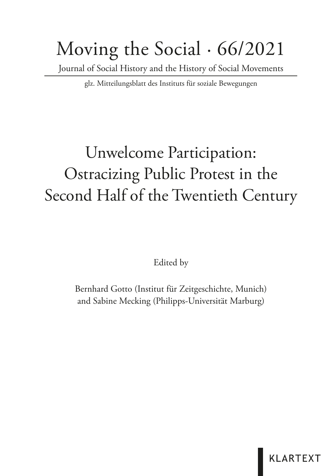# Moving the Social · 66/2021

Journal of Social History and the History of Social Movements

glz. Mitteilungsblatt des Instituts für soziale Bewegungen

## Unwelcome Participation: Ostracizing Public Protest in the Second Half of the Twentieth Century

Edited by

Bernhard Gotto (Institut für Zeitgeschichte, Munich) and Sabine Mecking (Philipps-Universität Marburg)

**KLARTEXT**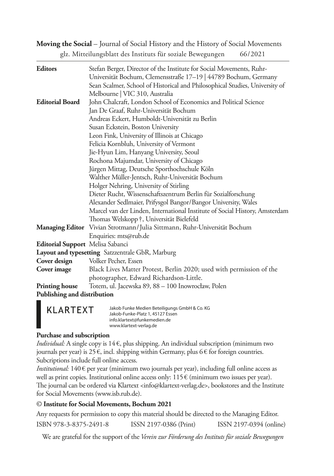**Moving the Social** – Journal of Social History and the History of Social Movements glz. Mitteilungsblatt des Instituts für soziale Bewegungen 66/2021

| <b>Editors</b>                   | Stefan Berger, Director of the Institute for Social Movements, Ruhr-        |
|----------------------------------|-----------------------------------------------------------------------------|
|                                  | Universität Bochum, Clemensstraße 17-19   44789 Bochum, Germany             |
|                                  | Sean Scalmer, School of Historical and Philosophical Studies, University of |
|                                  | Melbourne   VIC 310, Australia                                              |
| <b>Editorial Board</b>           | John Chalcraft, London School of Economics and Political Science            |
|                                  | Jan De Graaf, Ruhr-Universität Bochum                                       |
|                                  | Andreas Eckert, Humboldt-Universität zu Berlin                              |
|                                  | Susan Eckstein, Boston University                                           |
|                                  | Leon Fink, University of Illinois at Chicago                                |
|                                  | Felicia Kornbluh, University of Vermont                                     |
|                                  | Jie-Hyun Lim, Hanyang University, Seoul                                     |
|                                  | Rochona Majumdar, University of Chicago                                     |
|                                  | Jürgen Mittag, Deutsche Sporthochschule Köln                                |
|                                  | Walther Müller-Jentsch, Ruhr-Universität Bochum                             |
|                                  | Holger Nehring, University of Stirling                                      |
|                                  | Dieter Rucht, Wissenschaftszentrum Berlin für Sozialforschung               |
|                                  | Alexander Sedlmaier, Prifysgol Bangor/Bangor University, Wales              |
|                                  | Marcel van der Linden, International Institute of Social History, Amsterdam |
|                                  | Thomas Welskopp†, Universität Bielefeld                                     |
|                                  | Managing Editor Vivian Strotmann/Julia Sittmann, Ruhr-Universität Bochum    |
|                                  | Enquiries: mts@rub.de                                                       |
| Editorial Support Melisa Sabanci |                                                                             |
|                                  | Layout and typesetting Satzzentrale GbR, Marburg                            |
| Cover design                     | Volker Pecher, Essen                                                        |
| Cover image                      | Black Lives Matter Protest, Berlin 2020; used with permission of the        |
|                                  | photographer, Edward Richardson-Little.                                     |
| <b>Printing house</b>            | Totem, ul. Jacewska 89, 88 - 100 Inowrocław, Polen                          |
| Publishing and distribution      |                                                                             |
|                                  |                                                                             |

Jakob Funke Medien Beteiligungs GmbH & Co. KG **KLARTEXT** Jakob-Funke-Platz 1, 45127 Essen info.klartext@funkemedien.de www.klartext-verlag.de

#### **Purchase and subscription**

*Individual:* A single copy is 14 €, plus shipping. An individual subscription (minimum two journals per year) is 25 $\epsilon$ , incl. shipping within Germany, plus 6 $\epsilon$  for foreign countries. Subcriptions include full online access.

*Institutional:* 140 € per year (minimum two journals per year), including full online access as well as print copies. Institutional online access only: 115 € (minimum two issues per year). The journal can be ordered via Klartext <info@klartext-verlag.de>, bookstores and the Institute for Social Movements (www.isb.rub.de).

#### © **Institute for Social Movements, Bochum 2021**

Any requests for permission to copy this material should be directed to the Managing Editor. ISBN 978-3-8375-2491-8 ISSN 2197-0386 (Print) ISSN 2197-0394 (online)

We are grateful for the support of the *Verein zur Förderung des Instituts für soziale Bewegungen*